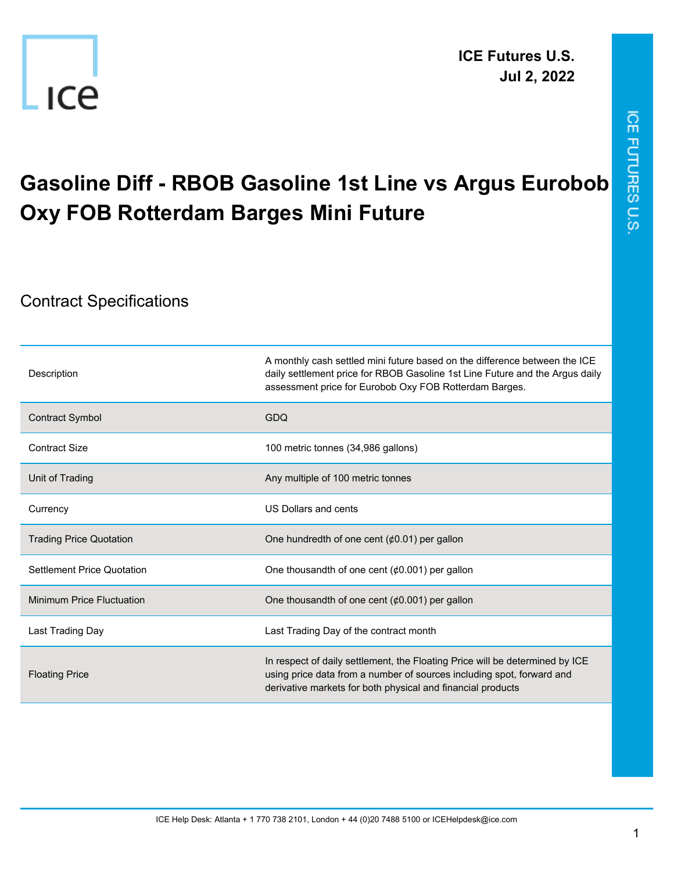

## **Gasoline Diff - RBOB Gasoline 1st Line vs Argus Eurobob Oxy FOB Rotterdam Barges Mini Future**

## Contract Specifications

| Description                      | A monthly cash settled mini future based on the difference between the ICE<br>daily settlement price for RBOB Gasoline 1st Line Future and the Argus daily<br>assessment price for Eurobob Oxy FOB Rotterdam Barges. |
|----------------------------------|----------------------------------------------------------------------------------------------------------------------------------------------------------------------------------------------------------------------|
| <b>Contract Symbol</b>           | GDQ                                                                                                                                                                                                                  |
| <b>Contract Size</b>             | 100 metric tonnes (34,986 gallons)                                                                                                                                                                                   |
| Unit of Trading                  | Any multiple of 100 metric tonnes                                                                                                                                                                                    |
| Currency                         | US Dollars and cents                                                                                                                                                                                                 |
| <b>Trading Price Quotation</b>   | One hundredth of one cent $(60.01)$ per gallon                                                                                                                                                                       |
| Settlement Price Quotation       | One thousandth of one cent $(60.001)$ per gallon                                                                                                                                                                     |
| <b>Minimum Price Fluctuation</b> | One thousandth of one cent $(60.001)$ per gallon                                                                                                                                                                     |
| Last Trading Day                 | Last Trading Day of the contract month                                                                                                                                                                               |
| <b>Floating Price</b>            | In respect of daily settlement, the Floating Price will be determined by ICE<br>using price data from a number of sources including spot, forward and<br>derivative markets for both physical and financial products |